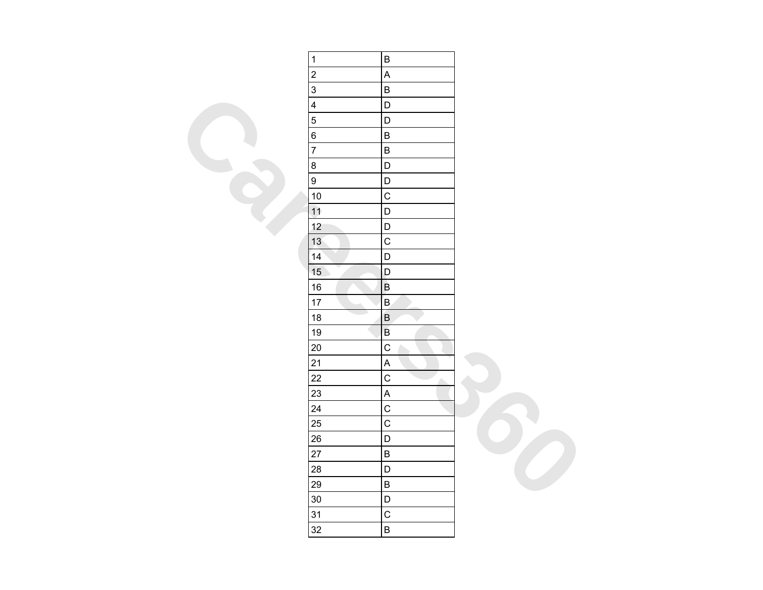| $\overline{1}$ | $\sf B$                   |  |
|----------------|---------------------------|--|
| $\overline{2}$ | $\boldsymbol{\mathsf{A}}$ |  |
| $\overline{3}$ | $\overline{B}$            |  |
| $\overline{4}$ | $\mathsf D$               |  |
| $\overline{5}$ | D                         |  |
| $\overline{6}$ | $\sf B$                   |  |
| $\overline{7}$ | $\sf B$                   |  |
| $\bf 8$        | $\mathsf D$               |  |
| $\overline{9}$ | $\mathsf D$               |  |
| 10             | $\mathsf{C}$              |  |
| 11             | $\mathsf D$               |  |
| 12             | $\mathsf D$               |  |
| 13             | $\mathsf{C}$              |  |
| 14             | D                         |  |
| 15             | D                         |  |
| 16             | $\sf B$                   |  |
| 17             | $\sf B$                   |  |
| 18             | $\overline{B}$<br>D       |  |
| 19             | $\sf B$                   |  |
| 20             | $\mathsf{C}$              |  |
| 21             | A                         |  |
| 22             | $\mathsf{C}$<br>۸         |  |
| 23             | $\overline{\mathsf{A}}$   |  |
| 24             | $\overline{C}$            |  |
| 25             | $\mathsf{C}$              |  |
| 26             | D                         |  |
| 27             | $\sf B$                   |  |
| 28             | $\mathsf D$               |  |
| 29             | $\sf B$                   |  |
| $30\,$         | $\mathsf D$               |  |
| 31             | $\mathsf{C}$              |  |
| 32             | $\sf B$                   |  |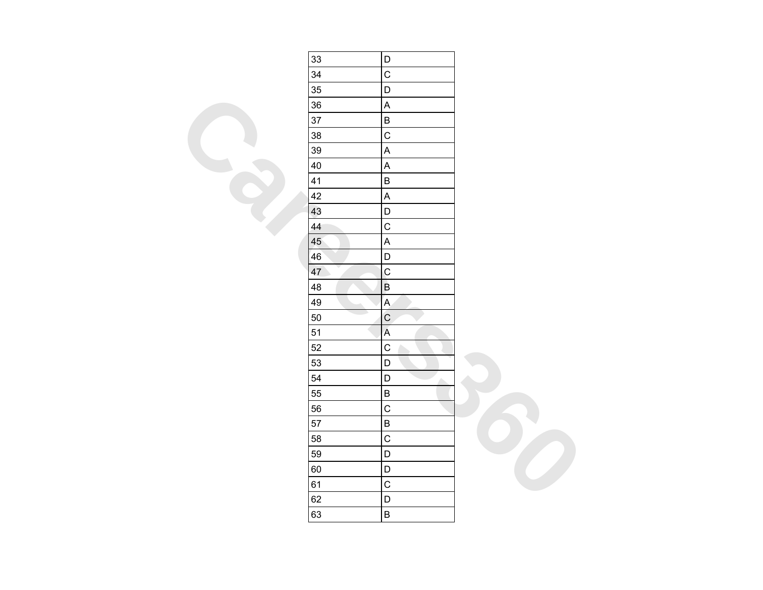| 33 | D                         |  |
|----|---------------------------|--|
| 34 | $\overline{C}$            |  |
| 35 | D                         |  |
| 36 | $\boldsymbol{\mathsf{A}}$ |  |
| 37 | $\sf B$                   |  |
| 38 | $\mathsf{C}$              |  |
| 39 | $\overline{\mathsf{A}}$   |  |
| 40 | A                         |  |
| 41 | $\sf B$                   |  |
| 42 | $\overline{\mathsf{A}}$   |  |
| 43 | $\mathsf D$               |  |
| 44 | $\overline{C}$            |  |
| 45 | $\boldsymbol{\mathsf{A}}$ |  |
| 46 | D                         |  |
| 47 | $\mathsf{C}$              |  |
| 48 | $\sf B$                   |  |
| 49 | $\overline{A}$            |  |
| 50 | $\mathsf{C}$              |  |
| 51 | $\overline{A}$            |  |
| 52 | $\mathsf{C}$              |  |
| 53 | D                         |  |
| 54 | $\mathsf D$<br>A.         |  |
| 55 | $\sf B$                   |  |
| 56 | $\mathsf{C}$              |  |
| 57 | $\overline{B}$            |  |
| 58 | $\mathsf{C}$              |  |
| 59 | $\mathsf D$               |  |
| 60 | $\mathsf D$               |  |
| 61 | $\mathsf{C}$              |  |
| 62 | D                         |  |
| 63 | $\sf B$                   |  |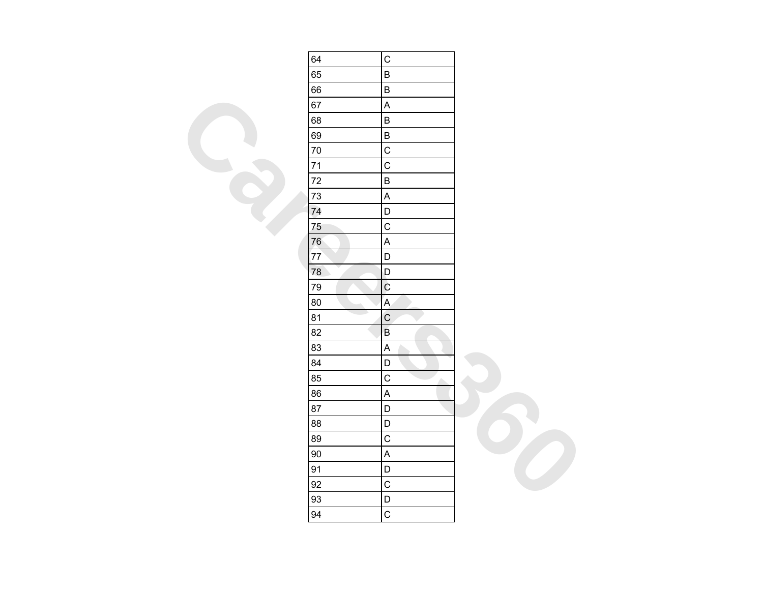| 64 | $\mathsf C$               |  |
|----|---------------------------|--|
| 65 | $\sf B$                   |  |
| 66 | $\sf B$                   |  |
| 67 | $\sf A$                   |  |
| 68 | $\sf B$                   |  |
| 69 | $\sf B$                   |  |
| 70 | $\overline{C}$            |  |
| 71 | $\mathsf{C}$              |  |
| 72 | $\sf B$                   |  |
| 73 | $\boldsymbol{\mathsf{A}}$ |  |
| 74 | D                         |  |
| 75 | $\overline{C}$            |  |
| 76 | $\boldsymbol{\mathsf{A}}$ |  |
| 77 | $\mathsf D$               |  |
| 78 | D                         |  |
| 79 | $\mathbf C$               |  |
| 80 | $\overline{A}$            |  |
| 81 | $\mathsf{C}$              |  |
| 82 | $\mathsf B$               |  |
| 83 | $\boldsymbol{\mathsf{A}}$ |  |
| 84 | D                         |  |
| 85 | $\overline{C}$<br>Δ       |  |
| 86 | $\boldsymbol{\mathsf{A}}$ |  |
| 87 | D                         |  |
| 88 | $\mathsf D$               |  |
| 89 | $\mathsf C$               |  |
| 90 | $\overline{\mathsf{A}}$   |  |
| 91 | $\mathsf{D}$              |  |
| 92 | $\mathsf C$               |  |
| 93 | $\mathsf D$               |  |
| 94 | $\mathsf C$               |  |